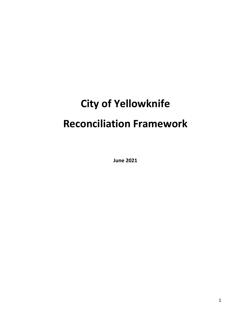# **City of Yellowknife Reconciliation Framework**

**June 2021**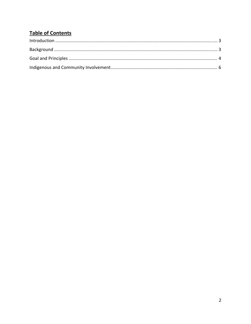# **Table of Contents**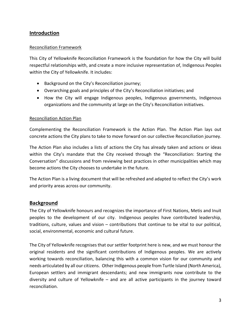# **Introduction**

#### Reconciliation Framework

This City of Yellowknife Reconciliation Framework is the foundation for how the City will build respectful relationships with, and create a more inclusive representation of, Indigenous Peoples within the City of Yellowknife. It includes:

- Background on the City's Reconciliation journey;
- Overarching goals and principles of the City's Reconciliation initiatives; and
- How the City will engage Indigenous peoples, Indigenous governments, Indigenous organizations and the community at large on the City's Reconciliation initiatives.

#### Reconciliation Action Plan

Complementing the Reconciliation Framework is the Action Plan. The Action Plan lays out concrete actions the City plans to take to move forward on our collective Reconciliation journey.

The Action Plan also includes a lists of actions the City has already taken and actions or ideas within the City's mandate that the City received through the "Reconciliation: Starting the Conversation" discussions and from reviewing best practices in other municipalities which may become actions the City chooses to undertake in the future.

The Action Plan is a living document that will be refreshed and adapted to reflect the City's work and priority areas across our community.

#### **Background**

The City of Yellowknife honours and recognizes the importance of First Nations, Metis and Inuit peoples to the development of our city. Indigenous peoples have contributed leadership, traditions, culture, values and vision – contributions that continue to be vital to our political, social, environmental, economic and cultural future.

The City of Yellowknife recognises that our settler footprint here is new, and we must honour the original residents and the significant contributions of Indigenous peoples. We are actively working towards reconciliation, balancing this with a common vision for our community and needs articulated by all our citizens. Other Indigenous people from Turtle Island (North America), European settlers and immigrant descendants; and new immigrants now contribute to the diversity and culture of Yellowknife – and are all active participants in the journey toward reconciliation.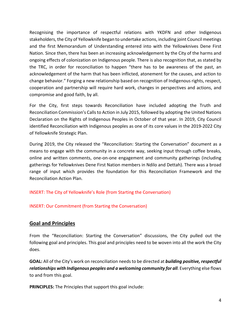Recognising the importance of respectful relations with YKDFN and other Indigenous stakeholders, the City of Yellowknife began to undertake actions, including joint Council meetings and the first Memorandum of Understanding entered into with the Yellowknives Dene First Nation. Since then, there has been an increasing acknowledgement by the City of the harms and ongoing effects of colonization on Indigenous people. There is also recognition that, as stated by the TRC, in order for reconciliation to happen "there has to be awareness of the past, an acknowledgement of the harm that has been inflicted, atonement for the causes, and action to change behavior." Forging a new relationship based on recognition of Indigenous rights, respect, cooperation and partnership will require hard work, changes in perspectives and actions, and compromise and good faith, by all.

For the City, first steps towards Reconciliation have included adopting the Truth and Reconciliation Commission's Calls to Action in July 2015, followed by adopting the United Nations Declaration on the Rights of Indigenous Peoples in October of that year. In 2019, City Council identified Reconciliation with Indigenous peoples as one of its core values in the 2019‐2022 City of Yellowknife Strategic Plan.

During 2019, the City released the "Reconciliation: Starting the Conversation" document as a means to engage with the community in a concrete way, seeking input through coffee breaks, online and written comments, one‐on‐one engagement and community gatherings (including gatherings for Yellowknives Dene First Nation members in Ndilo and Dettah). There was a broad range of input which provides the foundation for this Reconciliation Framework and the Reconciliation Action Plan.

INSERT: The City of Yellowknife's Role (from Starting the Conversation)

INSERT: Our Commitment (from Starting the Conversation)

# **Goal and Principles**

From the "Reconciliation: Starting the Conversation" discussions, the City pulled out the following goal and principles. This goal and principles need to be woven into all the work the City does.

**GOAL:** All of the City's work on reconciliation needsto be directed at *building positive, respectful relationships with Indigenous peoples and a welcoming community for all*. Everything else flows to and from this goal.

**PRINCIPLES:** The Principles that support this goal include: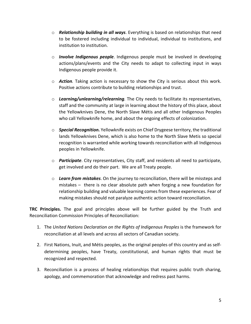- o *Relationship building in all ways*. Everything is based on relationships that need to be fostered including individual to individual, individual to institutions, and institution to institution.
- o *Involve Indigenous people*. Indigenous people must be involved in developing actions/plans/events and the City needs to adapt to collecting input in ways Indigenous people provide it.
- o *Action.* Taking action is necessary to show the City is serious about this work. Positive actions contribute to building relationships and trust.
- o *Learning/unlearning/relearning.* The City needs to facilitate its representatives, staff and the community at large in learning about the history of this place, about the Yellowknives Dene, the North Slave Métis and all other Indigenous Peoples who call Yellowknife home, and about the ongoing effects of colonization.
- o *Special Recognition.* Yellowknife exists on Chief Drygeese territory, the traditional lands Yellowknives Dene, which is also home to the North Slave Metis so special recognition is warranted while working towards reconciliation with all Indigenous peoples in Yellowknife.
- o *Participate*. City representatives, City staff, and residents all need to participate, get involved and do their part. We are all Treaty people.
- o *Learn from mistakes*. On the journey to reconciliation, there will be missteps and mistakes – there is no clear absolute path when forging a new foundation for relationship building and valuable learning comes from these experiences. Fear of making mistakes should not paralyze authentic action toward reconciliation.

**TRC Principles.** The goal and principles above will be further guided by the Truth and Reconciliation Commission Principles of Reconciliation:

- 1. The *United Nations Declaration on the Rights of Indigenous Peoples* is the framework for reconciliation at all levels and across all sectors of Canadian society.
- 2. First Nations, Inuit, and Métis peoples, as the original peoples of this country and as self‐ determining peoples, have Treaty, constitutional, and human rights that must be recognized and respected.
- 3. Reconciliation is a process of healing relationships that requires public truth sharing, apology, and commemoration that acknowledge and redress past harms.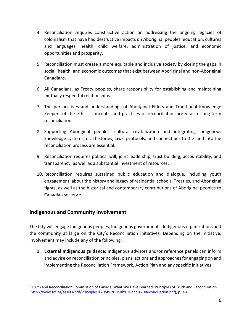- 4. Reconciliation requires constructive action on addressing the ongoing legacies of colonialism that have had destructive impacts on Aboriginal peoples' education, cultures and languages, health, child welfare, administration of justice, and economic opportunities and prosperity.
- 5. Reconciliation must create a more equitable and inclusive society by closing the gaps in social, health, and economic outcomes that exist between Aboriginal and non‐Aboriginal Canadians.
- 6. All Canadians, as Treaty peoples, share responsibility for establishing and maintaining mutually respectful relationships.
- 7. The perspectives and understandings of Aboriginal Elders and Traditional Knowledge Keepers of the ethics, concepts, and practices of reconciliation are vital to long-term reconciliation.
- 8. Supporting Aboriginal peoples' cultural revitalization and integrating Indigenous knowledge systems, oral histories, laws, protocols, and connections to the land into the reconciliation process are essential.
- 9. Reconciliation requires political will, joint leadership, trust building, accountability, and transparency, as well as a substantial investment of resources.
- 10. Reconciliation requires sustained public education and dialogue, including youth engagement, about the history and legacy of residential schools, Treaties, and Aboriginal rights, as well as the historical and contemporary contributions of Aboriginal peoples to Canadian society.1

# **Indigenous and Community Involvement**

The City will engage Indigenous peoples, Indigenous governments, Indigenous organizations and the community at large on the City's Reconciliation initiatives. Depending on the initiative, involvement may include any of the following:

**1. External Indigenous guidance:** Indigenous advisors and/or reference panels can inform and advise on reconciliation principles, plans, actions and approachesfor engaging on and implementing the Reconciliation Framework, Action Plan and any specific initiatives.

<sup>1</sup> Truth and Reconciliation Commission of Canada, What We Have Learned: Principles of Truth and Reconciliation (http://www.trc.ca/assets/pdf/Principles%20of%20Truth%20and%20Reconciliation.pdf), p. 3‐4.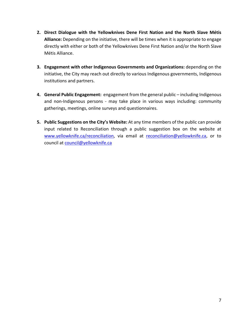- **2. Direct Dialogue with the Yellowknives Dene First Nation and the North Slave Métis Alliance:** Depending on the initiative, there will be times when it is appropriate to engage directly with either or both of the Yellowknives Dene First Nation and/or the North Slave Métis Alliance.
- **3. Engagement with other Indigenous Governments and Organizations:** depending on the initiative, the City may reach out directly to various Indigenous governments, Indigenous institutions and partners.
- **4. General Public Engagement:** engagement from the general public including Indigenous and non-Indigenous persons - may take place in various ways including: community gatherings, meetings, online surveys and questionnaires.
- **5. Public Suggestions on the City's Website:** At any time members of the public can provide input related to Reconciliation through a public suggestion box on the website at www.yellowknife.ca/reconciliation, via email at reconciliation@yellowknife.ca, or to council at council@yellowknife.ca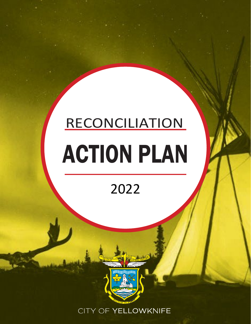# RECONCILIATION ACTION PLAN

# 2022



CITY OF YELLOWKNIFE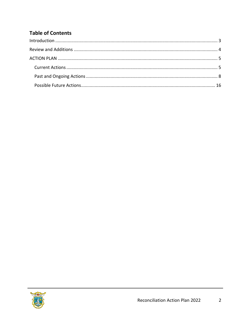# **Table of Contents**

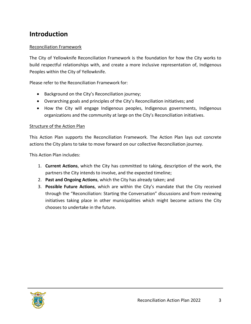# <span id="page-9-0"></span>**Introduction**

## Reconciliation Framework

The City of Yellowknife Reconciliation Framework is the foundation for how the City works to build respectful relationships with, and create a more inclusive representation of, Indigenous Peoples within the City of Yellowknife.

Please refer to the Reconciliation Framework for:

- Background on the City's Reconciliation journey;
- Overarching goals and principles of the City's Reconciliation initiatives; and
- How the City will engage Indigenous peoples, Indigenous governments, Indigenous organizations and the community at large on the City's Reconciliation initiatives.

#### Structure of the Action Plan

This Action Plan supports the Reconciliation Framework. The Action Plan lays out concrete actions the City plans to take to move forward on our collective Reconciliation journey.

This Action Plan includes:

- 1. **Current Actions**, which the City has committed to taking, description of the work, the partners the City intends to involve, and the expected timeline;
- 2. **Past and Ongoing Actions**, which the City has already taken; and
- 3. **Possible Future Actions**, which are within the City's mandate that the City received through the "Reconciliation: Starting the Conversation" discussions and from reviewing initiatives taking place in other municipalities which might become actions the City chooses to undertake in the future.

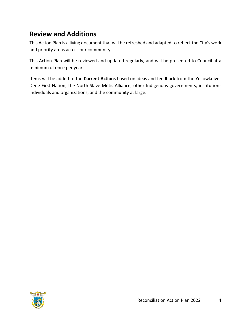# <span id="page-10-0"></span>**Review and Additions**

This Action Plan is a living document that will be refreshed and adapted to reflect the City's work and priority areas across our community.

This Action Plan will be reviewed and updated regularly, and will be presented to Council at a minimum of once per year.

Items will be added to the **Current Actions** based on ideas and feedback from the Yellowknives Dene First Nation, the North Slave Métis Alliance, other Indigenous governments, institutions individuals and organizations, and the community at large.

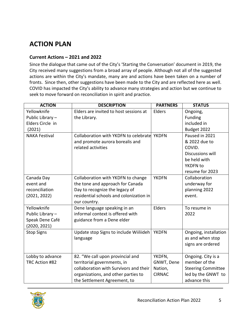# <span id="page-11-0"></span>**ACTION PLAN**

## <span id="page-11-1"></span>**Current Actions – 2021 and 2022**

<span id="page-11-2"></span>Since the dialogue that came out of the City's 'Starting the Conversation' document in 2019, the City received many suggestions from a broad array of people. Although not all of the suggested actions are within the City's mandate, many are and actions have been taken on a number of fronts. Since then, other suggestions have been made to the City and are reflected here as well. COVID has impacted the City's ability to advance many strategies and action but we continue to seek to move forward on reconciliation in spirit and practice.

| <b>ACTION</b>        | <b>DESCRIPTION</b>                          | <b>PARTNERS</b> | <b>STATUS</b>             |
|----------------------|---------------------------------------------|-----------------|---------------------------|
| Yellowknife          | Elders are invited to host sessions at      | Elders          | Ongoing,                  |
| Public Library-      | the Library.                                |                 | Funding                   |
| Elders Circle in     |                                             |                 | included in               |
| (2021)               |                                             |                 | Budget 2022               |
| <b>NAKA Festival</b> | Collaboration with YKDFN to celebrate YKDFN |                 | Paused in 2021            |
|                      | and promote aurora borealis and             |                 | & 2022 due to             |
|                      | related activities                          |                 | COVID.                    |
|                      |                                             |                 | Discussions will          |
|                      |                                             |                 | be held with              |
|                      |                                             |                 | YKDFN to                  |
|                      |                                             |                 | resume for 2023           |
| Canada Day           | Collaboration with YKDFN to change          | <b>YKDFN</b>    | Collaboration             |
| event and            | the tone and approach for Canada            |                 | underway for              |
| reconciliation       | Day to recognize the legacy of              |                 | planning 2022             |
| (2021, 2022)         | residential schools and colonization in     |                 | event.                    |
|                      | our country.                                |                 |                           |
| Yellowknife          | Dene language speaking in an                | Elders          | To resume in              |
| Public Library-      | informal context is offered with            |                 | 2022                      |
| Speak Dene Café      | guidance from a Dene elder                  |                 |                           |
| (2020, 2021)         |                                             |                 |                           |
| <b>Stop Signs</b>    | Update stop Signs to include Wiiliideh      | <b>YKDFN</b>    | Ongoing, installation     |
|                      | language                                    |                 | as and when stop          |
|                      |                                             |                 | signs are ordered         |
|                      |                                             |                 |                           |
| Lobby to advance     | 82. "We call upon provincial and            | YKDFN,          | Ongoing. City is a        |
| TRC Action #82       | territorial governments, in                 | GNWT, Dene      | member of the             |
|                      | collaboration with Survivors and their      | Nation,         | <b>Steering Committee</b> |
|                      | organizations, and other parties to         | <b>CIRNAC</b>   | led by the GNWT to        |
|                      | the Settlement Agreement, to                |                 | advance this              |

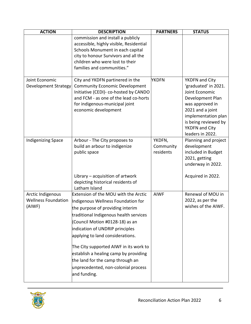| <b>ACTION</b>                                             | <b>DESCRIPTION</b>                                                                                                                                                                                                                                                                                                                                                                                                                                      | <b>PARTNERS</b>                  | <b>STATUS</b>                                                                                                                                                                                            |
|-----------------------------------------------------------|---------------------------------------------------------------------------------------------------------------------------------------------------------------------------------------------------------------------------------------------------------------------------------------------------------------------------------------------------------------------------------------------------------------------------------------------------------|----------------------------------|----------------------------------------------------------------------------------------------------------------------------------------------------------------------------------------------------------|
|                                                           | commission and install a publicly<br>accessible, highly visible, Residential<br>Schools Monument in each capital<br>city to honour Survivors and all the<br>children who were lost to their<br>families and communities."                                                                                                                                                                                                                               |                                  |                                                                                                                                                                                                          |
| Joint Economic<br><b>Development Strategy</b>             | City and YKDFN partinered in the<br><b>Community Economic Development</b><br>Initiative (CEDI)- co-hosted by CANDO<br>and FCM - as one of the lead co-horts<br>for indigenous-municipal joint<br>economic development                                                                                                                                                                                                                                   | YKDFN                            | YKDFN and City<br>'graduated' in 2021.<br>Joint Economic<br>Development Plan<br>was approved in<br>2021 and a joint<br>implementation plan<br>is being reviewed by<br>YKDFN and City<br>leaders in 2022. |
| <b>Indigenizing Space</b>                                 | Arbour - The City proposes to<br>build an arbour to indigenize<br>public space<br>Library $-$ acquisition of artwork<br>depicting historical residents of<br>Latham Island                                                                                                                                                                                                                                                                              | YKDFN,<br>Community<br>residents | Planning and project<br>development<br>included in Budget<br>2021, getting<br>underway in 2022.<br>Acquired in 2022.                                                                                     |
| Arctic Indigenous<br><b>Wellness Foundation</b><br>(AIWF) | <b>Extension of the MOU with the Arctic</b><br>Indigenous Wellness Foundation for<br>the purpose of providing interim<br>traditional Indigenous health services<br>(Council Motion #0128-18) as an<br>indication of UNDRIP principles<br>applying to land considerations.<br>The City supported AIWF in its work to<br>establish a healing camp by providing<br>the land for the camp through an<br>unprecedented, non-colonial process<br>and funding. | <b>AIWF</b>                      | Renewal of MOU in<br>2022, as per the<br>wishes of the AIWF.                                                                                                                                             |

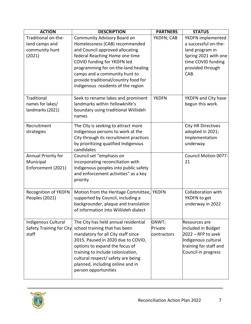| <b>ACTION</b>               | <b>DESCRIPTION</b>                        | <b>PARTNERS</b> | <b>STATUS</b>             |
|-----------------------------|-------------------------------------------|-----------------|---------------------------|
| Traditional on-the-         | Community Advisory Board on               | YKDFN; CAB      | YKDFN implemented         |
| land camps and              | Homelessness (CAB) recommended            |                 | a successful on-the-      |
| community hunt              | and Council approved allocating           |                 | land program in           |
| (2021)                      | federal Reaching Home one time            |                 | Spring 2021 with one      |
|                             | COVID funding for YKDFN led               |                 | time COVID funding        |
|                             | programming for on-the-land healing       |                 | provided through          |
|                             | camps and a community hunt to             |                 | CAB.                      |
|                             | provide traditional/country food for      |                 |                           |
|                             | Indigenous residents of the region        |                 |                           |
| Traditional                 | Seek to rename lakes and prominent        | <b>YKDFN</b>    | YKDFN and City have       |
| names for lakes/            | landmarks within Yellowknife's            |                 | begun this work.          |
| landmarks (2021)            | boundary using traditional Wiiliideh      |                 |                           |
|                             | names                                     |                 |                           |
| Recruitment                 | The City is seeking to attract more       |                 | <b>City HR Directives</b> |
| strategies                  | Indigenous persons to work at the         |                 | adopted in 2021;          |
|                             | City through its recruitment practices    |                 | Implementation            |
|                             | by prioritizing qualified Indigenous      |                 | underway                  |
|                             | candidates                                |                 |                           |
| Annual Priority for         | Council set "emphasis on                  |                 | Council Motion 0077-      |
| Municipal                   | incorporating reconciliation with         |                 | 21                        |
| Enforcement (2021)          | Indigenous peoples into public safety     |                 |                           |
|                             | and enforcement activities" as a key      |                 |                           |
|                             | priority                                  |                 |                           |
| <b>Recognition of YKDFN</b> | Motion from the Heritage Committee, YKDFN |                 | Collaboration with        |
| Peoples (2021)              | supported by Council, including a         |                 | YKDFN to get              |
|                             | backgrounder, plaque and translation      |                 | underway in 2022          |
|                             | of information into Wiiliideh dialect     |                 |                           |
| Indigenous Cultural         | The City has held annual residential      | GNWT;           | Resources are             |
| Safety Training for City    | school training that has been             | Private         | included in Budget        |
| staff                       | mandatory for all City staff since        | contractors     | $2022 - RFP$ to seek      |
|                             | 2015. Paused in 2020 due to COVID,        |                 | Indigenous cultural       |
|                             | options to expand the focus of            |                 | training for staff and    |
|                             | training to include colonization,         |                 | Council in progress       |
|                             | cultural respect/ safety are being        |                 |                           |
|                             | planned, including online and in          |                 |                           |
|                             | person opportunities                      |                 |                           |
|                             |                                           |                 |                           |

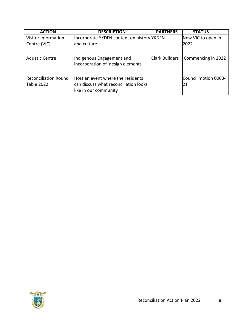| <b>ACTION</b>               | <b>DESCRIPTION</b>                         | <b>PARTNERS</b>       | <b>STATUS</b>        |
|-----------------------------|--------------------------------------------|-----------------------|----------------------|
| <b>Visitor Information</b>  | Incorporate YKDFN content on history YKDFN |                       | New VIC to open in   |
| Centre (VIC)                | and culture                                |                       | 2022                 |
|                             |                                            |                       |                      |
| <b>Aquatic Centre</b>       | Indigenous Engagement and                  | <b>Clark Builders</b> | Commencing in 2022   |
|                             | incorporation of design elements           |                       |                      |
|                             |                                            |                       |                      |
| <b>Reconciliation Round</b> | Host an event where the residents          |                       | Council motion 0063- |
| <b>Table 2022</b>           | can discuss what reconciliation looks      |                       | 21                   |
|                             | like in our community                      |                       |                      |

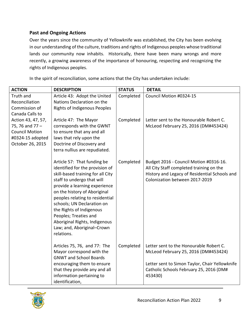# **Past and Ongoing Actions**

Over the years since the community of Yellowknife was established, the City has been evolving in our understanding of the culture, traditions and rights of Indigenous peoples whose traditional lands our community now inhabits. Historically, there have been many wrongs and more recently, a growing awareness of the importance of honouring, respecting and recognizing the rights of Indigenous peoples.

In the spirit of reconciliation, some actions that the City has undertaken include:

| <b>ACTION</b>               | <b>DESCRIPTION</b>                                                                                                                                                                                                                                                                                                                                                                                    | <b>STATUS</b> | <b>DETAIL</b>                                                                                                                                                         |
|-----------------------------|-------------------------------------------------------------------------------------------------------------------------------------------------------------------------------------------------------------------------------------------------------------------------------------------------------------------------------------------------------------------------------------------------------|---------------|-----------------------------------------------------------------------------------------------------------------------------------------------------------------------|
| Truth and<br>Reconciliation | Article 43: Adopt the United<br>Nations Declaration on the                                                                                                                                                                                                                                                                                                                                            | Completed     | Council Motion #0324-15                                                                                                                                               |
| Commission of               | <b>Rights of Indigenous Peoples</b>                                                                                                                                                                                                                                                                                                                                                                   |               |                                                                                                                                                                       |
| Canada Calls to             |                                                                                                                                                                                                                                                                                                                                                                                                       |               |                                                                                                                                                                       |
| Action 43, 47, 57,          | Article 47: The Mayor                                                                                                                                                                                                                                                                                                                                                                                 | Completed     | Letter sent to the Honourable Robert C.                                                                                                                               |
| 75, 76 and 77 -             | corresponds with the GWNT                                                                                                                                                                                                                                                                                                                                                                             |               | McLeod February 25, 2016 (DM#453424)                                                                                                                                  |
| <b>Council Motion</b>       | to ensure that any and all                                                                                                                                                                                                                                                                                                                                                                            |               |                                                                                                                                                                       |
| #0324-15 adopted            | laws that rely upon the                                                                                                                                                                                                                                                                                                                                                                               |               |                                                                                                                                                                       |
| October 26, 2015            | Doctrine of Discovery and                                                                                                                                                                                                                                                                                                                                                                             |               |                                                                                                                                                                       |
|                             | terra nullius are repudiated.                                                                                                                                                                                                                                                                                                                                                                         |               |                                                                                                                                                                       |
|                             | Article 57: That funding be<br>identified for the provision of<br>skill-based training for all City<br>staff to undergo that will<br>provide a learning experience<br>on the history of Aboriginal<br>peoples relating to residential<br>schools; UN Declaration on<br>the Rights of Indigenous<br>Peoples; Treaties and<br>Aboriginal Rights, Indigenous<br>Law; and, Aboriginal-Crown<br>relations. | Completed     | Budget 2016 - Council Motion #0316-16.<br>All City Staff completed training on the<br>History and Legacy of Residential Schools and<br>Colonization between 2017-2019 |
|                             | Articles 75, 76, and 77: The<br>Mayor correspond with the<br><b>GNWT and School Boards</b>                                                                                                                                                                                                                                                                                                            | Completed     | Letter sent to the Honourable Robert C.<br>McLeod February 25, 2016 (DM#453424)                                                                                       |
|                             | encouraging them to ensure<br>that they provide any and all<br>information pertaining to<br>identification,                                                                                                                                                                                                                                                                                           |               | Letter sent to Simon Taylor, Chair Yellowknife<br>Catholic Schools February 25, 2016 (DM#<br>453430)                                                                  |

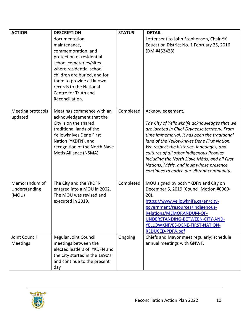| <b>ACTION</b>                           | <b>DESCRIPTION</b>                                                                                                                                                                                                                                                          | <b>STATUS</b> | <b>DETAIL</b>                                                                                                                                                                                                                                                                                                                                                                                                                                        |
|-----------------------------------------|-----------------------------------------------------------------------------------------------------------------------------------------------------------------------------------------------------------------------------------------------------------------------------|---------------|------------------------------------------------------------------------------------------------------------------------------------------------------------------------------------------------------------------------------------------------------------------------------------------------------------------------------------------------------------------------------------------------------------------------------------------------------|
|                                         | documentation,<br>maintenance,<br>commemoration, and<br>protection of residential<br>school cemeteries/sites<br>where residential school<br>children are buried, and for<br>them to provide all known<br>records to the National<br>Centre for Truth and<br>Reconciliation. |               | Letter sent to John Stephenson, Chair YK<br>Education District No. 1 February 25, 2016<br>(DM #453428)                                                                                                                                                                                                                                                                                                                                               |
| Meeting protocols<br>updated            | Meetings commence with an<br>acknowledgement that the<br>City is on the shared<br>traditional lands of the<br>Yellowknives Dene First<br>Nation (YKDFN), and<br>recognition of the North Slave<br>Metis Alliance (NSMA)                                                     | Completed     | Acknowledgement:<br>The City of Yellowknife acknowledges that we<br>are located in Chief Drygeese territory. From<br>time immemorial, it has been the traditional<br>land of the Yellowknives Dene First Nation.<br>We respect the histories, languages, and<br>cultures of all other Indigenous Peoples<br>including the North Slave Métis, and all First<br>Nations, Métis, and Inuit whose presence<br>continues to enrich our vibrant community. |
| Memorandum of<br>Understanding<br>(MOU) | The City and the YKDFN<br>entered into a MOU in 2002.<br>The MOU was revised and<br>executed in 2019.                                                                                                                                                                       | Completed     | MOU signed by both YKDFN and City on<br>December 5, 2019 (Council Motion #0060-<br>$20$ ).<br>https://www.yellowknife.ca/en/city-<br>government/resources/Indigenous-<br>Relations/MEMORANDUM-OF-<br>UNDERSTANDING-BETWEEN-CITY-AND-<br>YELLOWKNIVES-DENE-FIRST-NATION-<br>REDUCED-PDFA.pdf                                                                                                                                                          |
| Joint Council<br>Meetings               | <b>Regular Joint Council</b><br>meetings between the<br>elected leaders of YKDFN and<br>the City started in the 1990's<br>and continue to the present<br>day                                                                                                                | Ongoing       | Chiefs and Mayor meet regularly; schedule<br>annual meetings with GNWT.                                                                                                                                                                                                                                                                                                                                                                              |

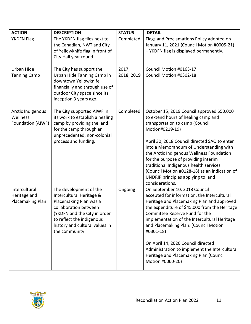| <b>ACTION</b>                                      | <b>DESCRIPTION</b>                                                                                                                                                                                                    | <b>STATUS</b>       | <b>DETAIL</b>                                                                                                                                                                                                                                                                                                                                                                                                                                                               |
|----------------------------------------------------|-----------------------------------------------------------------------------------------------------------------------------------------------------------------------------------------------------------------------|---------------------|-----------------------------------------------------------------------------------------------------------------------------------------------------------------------------------------------------------------------------------------------------------------------------------------------------------------------------------------------------------------------------------------------------------------------------------------------------------------------------|
| <b>YKDFN Flag</b>                                  | The YKDFN flag flies next to<br>the Canadian, NWT and City<br>of Yellowknife flag in front of<br>City Hall year round.                                                                                                | Completed           | Flags and Proclamations Policy adopted on<br>January 11, 2021 (Council Motion #0005-21)<br>- YKDFN flag is displayed permanently.                                                                                                                                                                                                                                                                                                                                           |
| Urban Hide<br><b>Tanning Camp</b>                  | The City has support the<br>Urban Hide Tanning Camp in<br>downtown Yellowknife<br>financially and through use of<br>outdoor City space since its<br>inception 3 years ago.                                            | 2017,<br>2018, 2019 | Council Motion #0163-17<br>Council Motion #0302-18                                                                                                                                                                                                                                                                                                                                                                                                                          |
| Arctic Indigenous<br>Wellness<br>Foundation (AIWF) | The City supported AIWF in<br>its work to establish a healing<br>camp by providing the land<br>for the camp through an<br>unprecedented, non-colonial<br>process and funding.                                         | Completed           | October 15, 2019 Council approved \$50,000<br>to extend hours of healing camp and<br>transportation to camp (Council<br>Motion#0219-19)<br>April 30, 2018 Council directed SAO to enter<br>into a Memorandum of Understanding with<br>the Arctic Indigenous Wellness Foundation<br>for the purpose of providing interim<br>traditional Indigenous health services<br>(Council Motion #0128-18) as an indication of<br>UNDRIP principles applying to land<br>considerations. |
| Intercultural<br>Heritage and<br>Placemaking Plan  | The development of the<br>Intercultural Heritage &<br>Placemaking Plan was a<br>collaboration between<br>(YKDFN and the City in order<br>to reflect the indigenous<br>history and cultural values in<br>the community | Ongoing             | On September 10, 2018 Council<br>accepted for information, the Intercultural<br>Heritage and Placemaking Plan and approved<br>the expenditure of \$45,000 from the Heritage<br>Committee Reserve Fund for the<br>implementation of the Intercultural Heritage<br>and Placemaking Plan. (Council Motion<br>#0301-18)<br>On April 14, 2020 Council directed<br>Administration to implement the Intercultural<br>Heritage and Placemaking Plan (Council<br>Motion #0060-20)    |

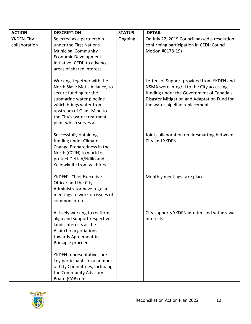| <b>ACTION</b> | <b>DESCRIPTION</b>                                                                                                                                                                                                                 | <b>STATUS</b> | <b>DETAIL</b>                                                                                                                                                                                                        |
|---------------|------------------------------------------------------------------------------------------------------------------------------------------------------------------------------------------------------------------------------------|---------------|----------------------------------------------------------------------------------------------------------------------------------------------------------------------------------------------------------------------|
| YKDFN-City    | Selected as a partnership                                                                                                                                                                                                          | Ongoing       | On July 22, 2019 Council passed a resolution                                                                                                                                                                         |
| collaboration | under the First Nations-                                                                                                                                                                                                           |               | confirming participation in CEDI (Council                                                                                                                                                                            |
|               | <b>Municipal Community</b>                                                                                                                                                                                                         |               | Motion #0178-19)                                                                                                                                                                                                     |
|               | <b>Economic Development</b>                                                                                                                                                                                                        |               |                                                                                                                                                                                                                      |
|               | Initiative (CEDI) to advance                                                                                                                                                                                                       |               |                                                                                                                                                                                                                      |
|               | areas of shared interest                                                                                                                                                                                                           |               |                                                                                                                                                                                                                      |
|               | Working, together with the<br>North Slave Metis Alliance, to<br>secure funding for the<br>submarine water pipeline<br>which brings water from<br>upstream of Giant Mine to<br>the City's water treatment<br>plant which serves all |               | Letters of Support provided from YKDFN and<br>NSMA were integral to the City accessing<br>funding under the Government of Canada's<br>Disaster Mitigation and Adaptation Fund for<br>the water pipeline replacement. |
|               | Successfully obtaining<br>funding under Climate<br>Change Preparedness in the<br>North (CCPN) to work to<br>protect Dettah/Ndilo and<br>Yellowknife from wildfires                                                                 |               | Joint collaboration on firesmarting between<br>City and YKDFN.                                                                                                                                                       |
|               | YKDFN's Chief Executive<br>Officer and the City<br>Administrator have regular<br>meetings to work on issues of<br>common interest                                                                                                  |               | Monthly meetings take place.                                                                                                                                                                                         |
|               | Actively working to reaffirm,<br>align and support respective<br>lands interests as the<br>Akaitcho negotiations<br>towards Agreement-in-<br>Principle proceed                                                                     |               | City supports YKDFN interim land withdrawal<br>interests.                                                                                                                                                            |
|               | YKDFN representatives are<br>key participants on a number<br>of City Committees, including<br>the Community Advisory<br>Board (CAB) on                                                                                             |               |                                                                                                                                                                                                                      |

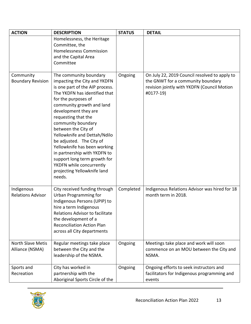| <b>ACTION</b>                          | <b>DESCRIPTION</b>                                                                                                                                                                                                                                                                                                                                                                                                                                                                                          | <b>STATUS</b> | <b>DETAIL</b>                                                                                                                                  |
|----------------------------------------|-------------------------------------------------------------------------------------------------------------------------------------------------------------------------------------------------------------------------------------------------------------------------------------------------------------------------------------------------------------------------------------------------------------------------------------------------------------------------------------------------------------|---------------|------------------------------------------------------------------------------------------------------------------------------------------------|
|                                        | Homelessness, the Heritage<br>Committee, the<br><b>Homelessness Commission</b><br>and the Capital Area<br>Committee                                                                                                                                                                                                                                                                                                                                                                                         |               |                                                                                                                                                |
| Community<br><b>Boundary Revision</b>  | The community boundary<br>impacting the City and YKDFN<br>is one part of the AIP process.<br>The YKDFN has identified that<br>for the purposes of<br>community growth and land<br>development they are<br>requesting that the<br>community boundary<br>between the City of<br>Yellowknife and Dettah/Ndilo<br>be adjusted. The City of<br>Yellowknife has been working<br>in partnership with YKDFN to<br>support long term growth for<br>YKDFN while concurrently<br>projecting Yellowknife land<br>needs. | Ongoing       | On July 22, 2019 Council resolved to apply to<br>the GNWT for a community boundary<br>revision jointly with YKDFN (Council Motion<br>#0177-19) |
| Indigenous<br><b>Relations Advisor</b> | City received funding through<br><b>Urban Programming for</b><br>Indigenous Persons (UPIP) to<br>hire a term Indigenous<br>Relations Advisor to facilitate<br>the development of a<br><b>Reconciliation Action Plan</b><br>across all City departments                                                                                                                                                                                                                                                      | Completed     | Indigenous Relations Advisor was hired for 18<br>month term in 2018.                                                                           |
| North Slave Metis<br>Alliance (NSMA)   | Regular meetings take place<br>between the City and the<br>leadership of the NSMA.                                                                                                                                                                                                                                                                                                                                                                                                                          | Ongoing       | Meetings take place and work will soon<br>commence on an MOU between the City and<br>NSMA.                                                     |
| Sports and<br>Recreation               | City has worked in<br>partnership with the<br>Aboriginal Sports Circle of the                                                                                                                                                                                                                                                                                                                                                                                                                               | Ongoing       | Ongoing efforts to seek instructors and<br>facilitators for Indigenous programming and<br>events                                               |

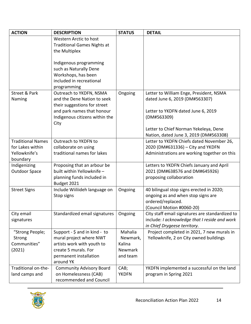| <b>ACTION</b>            | <b>DESCRIPTION</b>                                          | <b>STATUS</b> | <b>DETAIL</b>                                                                                    |
|--------------------------|-------------------------------------------------------------|---------------|--------------------------------------------------------------------------------------------------|
|                          | Western Arctic to host                                      |               |                                                                                                  |
|                          | <b>Traditional Games Nights at</b>                          |               |                                                                                                  |
|                          | the Multiplex                                               |               |                                                                                                  |
|                          | Indigenous programming                                      |               |                                                                                                  |
|                          | such as Naturally Dene                                      |               |                                                                                                  |
|                          | Workshops, has been                                         |               |                                                                                                  |
|                          | included in recreational                                    |               |                                                                                                  |
|                          | programming                                                 |               |                                                                                                  |
| Street & Park            | Outreach to YKDFN, NSMA                                     | Ongoing       | Letter to William Enge, President, NSMA                                                          |
| Naming                   | and the Dene Nation to seek<br>their suggestions for street |               | dated June 6, 2019 (DM#563307)                                                                   |
|                          | and park names that honour                                  |               | Letter to YKDFN dated June 6, 2019                                                               |
|                          | Indigenous citizens within the                              |               | (DM#563309)                                                                                      |
|                          | City                                                        |               |                                                                                                  |
|                          |                                                             |               | Letter to Chief Norman Yekeleya, Dene                                                            |
|                          |                                                             |               | Nation, dated June 3, 2019 (DM#563308)                                                           |
| <b>Traditional Names</b> | Outreach to YKDFN to                                        |               | Letter to YKDFN Chiefs dated November 26,                                                        |
| for Lakes within         | collaborate on using                                        |               | 2020 (DM#631336) - City and YKDFN                                                                |
| Yellowknife's            | traditional names for lakes                                 |               | Administrations are working together on this                                                     |
| boundary<br>Indigenizing | Proposing that an arbour be                                 |               | Letters to YKDFN Chiefs January and April                                                        |
| <b>Outdoor Space</b>     | built within Yellowknife -                                  |               | 2021 (DM#638576 and DM#645926)                                                                   |
|                          | planning funds included in                                  |               | proposing collaboration                                                                          |
|                          | Budget 2021                                                 |               |                                                                                                  |
| <b>Street Signs</b>      | Include Wiiliideh language on                               | Ongoing       | 40 bilingual stop signs erected in 2020;                                                         |
|                          | Stop signs                                                  |               | ongoing as and when stop signs are                                                               |
|                          |                                                             |               | ordered/replaced.                                                                                |
| City email               | Standardized email signatures                               | Ongoing       | (Council Motion #0060-20)                                                                        |
| signatures               |                                                             |               | City staff email signatures are standardized to<br>include: I acknowledge that I reside and work |
|                          |                                                             |               | in Chief Drygeese territory.                                                                     |
| "Strong People;          | Support - $\frac{1}{2}$ and in kind - to                    | Mahalia       | Project completed in 2021, 7 new murals in                                                       |
| Strong                   | mural project where NWT                                     | Newmark,      | Yellowknife, 2 on City owned buildings                                                           |
| Communities"             | artists work with youth to                                  | Kalina        |                                                                                                  |
| (2021)                   | create 5 murals. For                                        | Newmark       |                                                                                                  |
|                          | permanent installation                                      | and team      |                                                                                                  |
| Traditional on-the-      | around YK<br><b>Community Advisory Board</b>                | CAB;          | YKDFN implemented a successful on the land                                                       |
| land camps and           | on Homelessness (CAB)                                       | <b>YKDFN</b>  | program in Spring 2021                                                                           |
|                          | recommended and Council                                     |               |                                                                                                  |

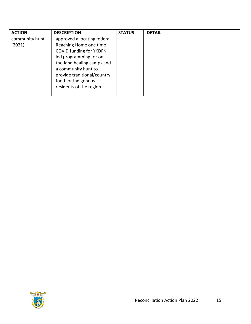| <b>ACTION</b>  | <b>DESCRIPTION</b>             | <b>STATUS</b> | <b>DETAIL</b> |
|----------------|--------------------------------|---------------|---------------|
| community hunt | approved allocating federal    |               |               |
| (2021)         | Reaching Home one time         |               |               |
|                | <b>COVID funding for YKDFN</b> |               |               |
|                | led programming for on-        |               |               |
|                | the-land healing camps and     |               |               |
|                | a community hunt to            |               |               |
|                | provide traditional/country    |               |               |
|                | food for Indigenous            |               |               |
|                | residents of the region        |               |               |
|                |                                |               |               |